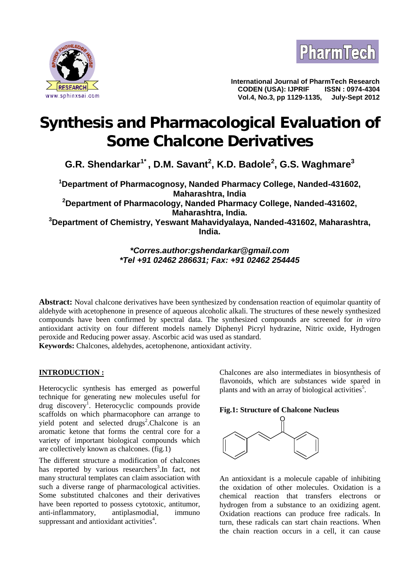



**International Journal of PharmTech Research CODEN (USA): IJPRIF ISSN : 0974-4304 Vol.4, No.3, pp 1129-1135,** 

# **Synthesis and Pharmacological Evaluation of Some Chalcone Derivatives**

**G.R. Shendarkar1\* , D.M. Savant<sup>2</sup> , K.D. Badole<sup>2</sup> , G.S. Waghmare<sup>3</sup>**

**<sup>1</sup>Department of Pharmacognosy, Nanded Pharmacy College, Nanded-431602, Maharashtra, India <sup>2</sup>Department of Pharmacology, Nanded Pharmacy College, Nanded-431602, Maharashtra, India. <sup>3</sup>Department of Chemistry, Yeswant Mahavidyalaya, Nanded-431602, Maharashtra, India.**

# *\*Corres.author:gshendarkar@gmail.com \*Tel +91 02462 286631; Fax: +91 02462 254445*

**Abstract:** Noval chalcone derivatives have been synthesized by condensation reaction of equimolar quantity of aldehyde with acetophenone in presence of aqueous alcoholic alkali. The structures of these newely synthesized compounds have been confirmed by spectral data. The synthesized compounds are screened for *in vitro* antioxidant activity on four different models namely Diphenyl Picryl hydrazine, Nitric oxide, Hydrogen peroxide and Reducing power assay. Ascorbic acid was used as standard. **Keywords:** Chalcones, aldehydes, acetophenone, antioxidant activity.

# **INTRODUCTION :**

Heterocyclic synthesis has emerged as powerful technique for generating new molecules useful for drug discovery<sup>1</sup>. Heterocyclic compounds provide scaffolds on which pharmacophore can arrange to yield potent and selected drugs<sup>2</sup>.Chalcone is an aromatic ketone that forms the central core for a variety of important biological compounds which are collectively known as chalcones. (fig.1)

The different structure a modification of chalcones has reported by various researchers<sup>3</sup>. In fact, not many structural templates can claim association with such a diverse range of pharmacological activities. Some substituted chalcones and their derivatives have been reported to possess cytotoxic, antitumor, anti-inflammatory, antiplasmodial, immuno suppressant and antioxidant activities<sup>4</sup>.

Chalcones are also intermediates in biosynthesis of flavonoids, which are substances wide spared in plants and with an array of biological activities<sup>5</sup>.





An antioxidant is a molecule capable of inhibiting the oxidation of other molecules. Oxidation is a chemical reaction that transfers electrons or hydrogen from a substance to an oxidizing agent. Oxidation reactions can produce free radicals. In turn, these radicals can start chain reactions. When the chain reaction occurs in a cell, it can cause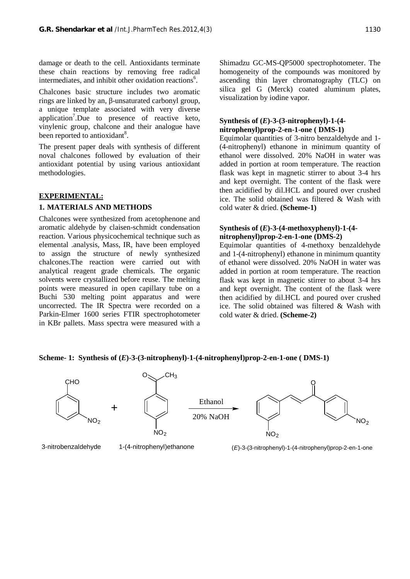damage or death to the cell. Antioxidants terminate these chain reactions by removing free radical intermediates, and inhibit other oxidation reactions<sup>6</sup>.

Chalcones basic structure includes two aromatic rings are linked by an, -unsaturated carbonyl group, a unique template associated with very diverse application<sup>7</sup>.Due to presence of reactive keto, vinylenic group, chalcone and their analogue have been reported to antioxidant<sup>8</sup>.

The present paper deals with synthesis of different noval chalcones followed by evaluation of their antioxidant potential by using various antioxidant methodologies.

#### **EXPERIMENTAL:**

#### **1. MATERIALS AND METHODS**

Chalcones were synthesized from acetophenone and aromatic aldehyde by claisen-schmidt condensation reaction. Various physicochemical technique such as elemental .analysis, Mass, IR, have been employed to assign the structure of newly synthesized chalcones.The reaction were carried out with analytical reagent grade chemicals. The organic solvents were crystallized before reuse. The melting points were measured in open capillary tube on a Buchi 530 melting point apparatus and were uncorrected. The IR Spectra were recorded on a Parkin-Elmer 1600 series FTIR spectrophotometer in KBr pallets. Mass spectra were measured with a

Shimadzu GC-MS-QP5000 spectrophotometer. The homogeneity of the compounds was monitored by ascending thin layer chromatography (TLC) on silica gel G (Merck) coated aluminum plates, visualization by iodine vapor.

#### **Synthesis of (***E***)-3-(3-nitrophenyl)-1-(4 nitrophenyl)prop-2-en-1-one ( DMS-1)**

Equimolar quantities of 3-nitro benzaldehyde and 1- (4-nitrophenyl) ethanone in minimum quantity of ethanol were dissolved. 20% NaOH in water was added in portion at room temperature. The reaction flask was kept in magnetic stirrer to about 3-4 hrs and kept overnight. The content of the flask were then acidified by dil.HCL and poured over crushed ice. The solid obtained was filtered & Wash with cold water & dried. **(Scheme-1)**

#### **Synthesis of (***E***)-3-(4-methoxyphenyl)-1-(4 nitrophenyl)prop-2-en-1-one (DMS-2)**

Equimolar quantities of 4-methoxy benzaldehyde and 1-(4-nitrophenyl) ethanone in minimum quantity of ethanol were dissolved. 20% NaOH in water was added in portion at room temperature. The reaction flask was kept in magnetic stirrer to about 3-4 hrs and kept overnight. The content of the flask were then acidified by dil.HCL and poured over crushed ice. The solid obtained was filtered & Wash with cold water & dried. **(Scheme-2)**

#### **Scheme- 1: Synthesis of (***E***)-3-(3-nitrophenyl)-1-(4-nitrophenyl)prop-2-en-1-one ( DMS-1)**



3-nitrobenzaldehyde 1-(4-nitrophenyl)ethanone (*E*)-3-(3-nitrophenyl)-1-(4-nitrophenyl)prop-2-en-1-one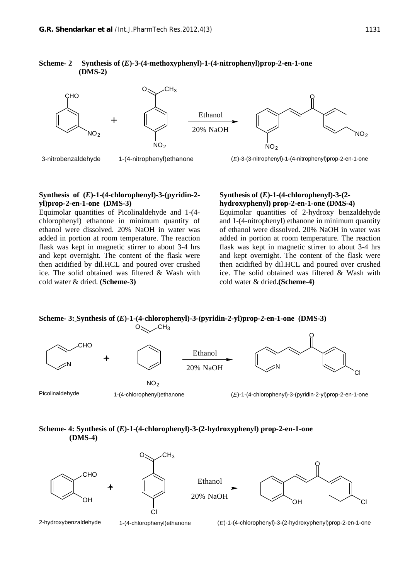#### **Scheme- 2 Synthesis of (***E***)-3-(4-methoxyphenyl)-1-(4-nitrophenyl)prop-2-en-1-one (DMS-2)**



#### **Synthesis of (***E***)-1-(4-chlorophenyl)-3-(pyridin-2 yl)prop-2-en-1-one (DMS-3)**

Equimolar quantities of Picolinaldehyde and 1-(4 chlorophenyl) ethanone in minimum quantity of ethanol were dissolved. 20% NaOH in water was added in portion at room temperature. The reaction flask was kept in magnetic stirrer to about 3-4 hrs and kept overnight. The content of the flask were then acidified by dil.HCL and poured over crushed ice. The solid obtained was filtered & Wash with cold water & dried. **(Scheme-3)**

#### **Synthesis of (***E***)-1-(4-chlorophenyl)-3-(2 hydroxyphenyl) prop-2-en-1-one (DMS-4)**

Equimolar quantities of 2-hydroxy benzaldehyde and 1-(4-nitrophenyl) ethanone in minimum quantity of ethanol were dissolved. 20% NaOH in water was added in portion at room temperature. The reaction flask was kept in magnetic stirrer to about 3-4 hrs and kept overnight. The content of the flask were then acidified by dil.HCL and poured over crushed ice. The solid obtained was filtered & Wash with cold water & dried.**(Scheme-4)**

#### **Scheme- 3: Synthesis of (***E***)-1-(4-chlorophenyl)-3-(pyridin-2-yl)prop-2-en-1-one (DMS-3)**



#### **Scheme- 4: Synthesis of (***E***)-1-(4-chlorophenyl)-3-(2-hydroxyphenyl) prop-2-en-1-one (DMS-4)**



2-hydroxybenzaldehyde 1-(4-chlorophenyl)ethanone (*E*)-1-(4-chlorophenyl)-3-(2-hydroxyphenyl)prop-2-en-1-one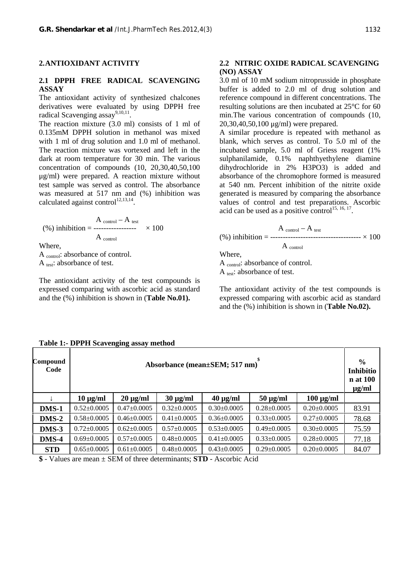#### **2.ANTIOXIDANT ACTIVITY**

## **2.1 DPPH FREE RADICAL SCAVENGING ASSAY**

The antioxidant activity of synthesized chalcones derivatives were evaluated by using DPPH free radical Scavenging assay<sup>9,10,11</sup>.

The reaction mixture (3.0 ml) consists of 1 ml of 0.135mM DPPH solution in methanol was mixed with 1 ml of drug solution and 1.0 ml of methanol. The reaction mixture was vortexed and left in the dark at room temperature for 30 min. The various concentration of compounds (10, 20,30,40,50,100 μg/ml) were prepared. A reaction mixture without test sample was served as control. The absorbance was measured at 517 nm and (%) inhibition was calculated against control $1^{12,13,14}$ .

$$
\text{(%) inhibition} = \frac{\text{A}_{\text{control}} - \text{A}_{\text{test}}}{\text{A}_{\text{control}}} \times 100
$$

Where,

A control: absorbance of control. A test: absorbance of test.

The antioxidant activity of the test compounds is expressed comparing with ascorbic acid as standard and the (%) inhibition is shown in (**Table No.01).**

## **2.2 NITRIC OXIDE RADICAL SCAVENGING (NO) ASSAY**

3.0 ml of 10 mM sodium nitroprusside in phosphate buffer is added to 2.0 ml of drug solution and reference compound in different concentrations. The resulting solutions are then incubated at 25°C for 60 min.The various concentration of compounds (10, 20,30,40,50,100 μg/ml) were prepared.

A similar procedure is repeated with methanol as blank, which serves as control. To 5.0 ml of the incubated sample, 5.0 ml of Griess reagent (1% sulphanilamide, 0.1% naphthyethylene diamine dihydrochloride in 2% H3PO3) is added and absorbance of the chromophore formed is measured at 540 nm. Percent inhibition of the nitrite oxide generated is measured by comparing the absorbance values of control and test preparations. Ascorbic acid can be used as a positive control<sup>15, 16, 17</sup> .

$$
\text{(%) inhibition} = \frac{A_{\text{control}} - A_{\text{ test}}}{A_{\text{control}}}
$$

Where,

A control: absorbance of control. A test: absorbance of test.

The antioxidant activity of the test compounds is expressed comparing with ascorbic acid as standard and the (%) inhibition is shown in (**Table No.02).**

| Compound<br>Code | $\circ$ $\circ$<br>Absorbance (mean±SEM; 517 nm) |                   |                   |                   |                   | $\frac{0}{0}$<br>Inhibitio<br>n at 100<br>$\mu$ g/ml |       |
|------------------|--------------------------------------------------|-------------------|-------------------|-------------------|-------------------|------------------------------------------------------|-------|
|                  | $10 \mu g/ml$                                    | $20 \mu g/ml$     | $30 \mu g/ml$     | $40 \mu g/ml$     | $50 \mu g/ml$     | $100 \mu g/ml$                                       |       |
| DMS-1            | $0.52 \pm 0.0005$                                | $0.47 \pm 0.0005$ | $0.32 \pm 0.0005$ | $0.30\pm0.0005$   | $0.28 \pm 0.0005$ | $0.20 \pm 0.0005$                                    | 83.91 |
| DMS-2            | $0.58 \pm 0.0005$                                | $0.46 \pm 0.0005$ | $0.41 \pm 0.0005$ | $0.36 \pm 0.0005$ | $0.33 \pm 0.0005$ | $0.27 \pm 0.0005$                                    | 78.68 |
| DMS-3            | $0.72 \pm 0.0005$                                | $0.62 \pm 0.0005$ | $0.57 \pm 0.0005$ | $0.53 \pm 0.0005$ | $0.49 \pm 0.0005$ | $0.30\pm0.0005$                                      | 75.59 |
| DMS-4            | $0.69 \pm 0.0005$                                | $0.57 \pm 0.0005$ | $0.48 \pm 0.0005$ | $0.41 \pm 0.0005$ | $0.33 \pm 0.0005$ | $0.28 \pm 0.0005$                                    | 77.18 |
| <b>STD</b>       | $0.65 \pm 0.0005$                                | $0.61 \pm 0.0005$ | $0.48 \pm 0.0005$ | $0.43 \pm 0.0005$ | $0.29 \pm 0.0005$ | $0.20 \pm 0.0005$                                    | 84.07 |

#### **Table 1:- DPPH Scavenging assay method**

**\$** - Values are mean ± SEM of three determinants; **STD** - Ascorbic Acid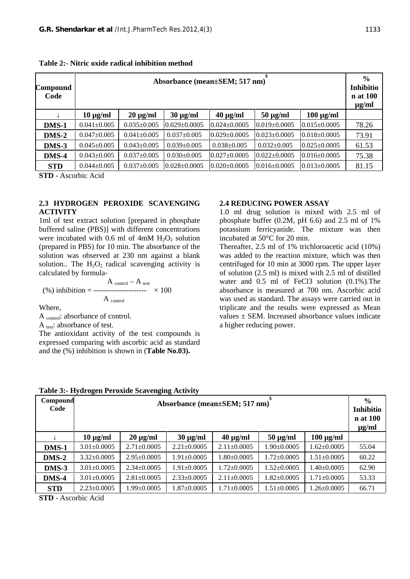| Compound<br>Code | Absorbance (mean±SEM; 517 nm) |                   |                    |                    |                    | $\frac{0}{0}$<br><b>Inhibitio</b><br>n at 100<br>$\mu$ g/ml |       |
|------------------|-------------------------------|-------------------|--------------------|--------------------|--------------------|-------------------------------------------------------------|-------|
|                  | $10 \mu g/ml$                 | $20 \mu g/ml$     | $30 \mu g/ml$      | $40 \mu g/ml$      | $50 \mu g/ml$      | $100 \mu g/ml$                                              |       |
| DMS-1            | $0.041 \pm 0.005$             | $0.035 \pm 0.005$ | $0.029 \pm 0.0005$ | $0.024 \pm 0.0005$ | $0.019 \pm 0.0005$ | $0.015 \pm 0.0005$                                          | 78.26 |
| DMS-2            | $0.047 \pm 0.005$             | $0.041 \pm 0.005$ | $0.037 \pm 0.005$  | $0.029 \pm 0.0005$ | $0.023 \pm 0.0005$ | $0.018 \pm 0.0005$                                          | 73.91 |
| DMS-3            | $0.045 \pm 0.005$             | $0.043 \pm 0.005$ | $0.039 \pm 0.005$  | $0.038 \pm 0.005$  | $0.032 \pm 0.005$  | $0.025 \pm 0.0005$                                          | 61.53 |
| DMS-4            | $0.043 \pm 0.005$             | $0.037 \pm 0.005$ | $0.030 \pm 0.005$  | $0.027 \pm 0.0005$ | $0.022 \pm 0.0005$ | $0.016 \pm 0.0005$                                          | 75.38 |
| <b>STD</b>       | $0.044 \pm 0.005$             | $0.037 \pm 0.005$ | $0.028 \pm 0.0005$ | $0.020 \pm 0.0005$ | $0.016 \pm 0.0005$ | $0.013 \pm 0.0005$                                          | 81.15 |

**Table 2:- Nitric oxide radical inhibition method**

**STD** - Ascorbic Acid

# **2.3 HYDROGEN PEROXIDE SCAVENGING ACTIVITY**

1ml of test extract solution [prepared in phosphate buffered saline (PBS)] with different concentrations were incubated with 0.6 ml of 4mM  $H_2O_2$  solution (prepared in PBS) for 10 min. The absorbance of the solution was observed at 230 nm against a blank solution.. The  $H_2O_2$  radical scavenging activity is calculated by formula-

$$
A_{\text{control}} - A_{\text{test}}
$$
  
(%) inhibition = 100  

$$
A_{\text{control}} \times 100
$$

Where,

A control: absorbance of control.

A test: absorbance of test.

The antioxidant activity of the test compounds is expressed comparing with ascorbic acid as standard and the (%) inhibition is shown in (**Table No.03).**

# **2.4 REDUCING POWER ASSAY**

1.0 ml drug solution is mixed with 2.5 ml of phosphate buffer (0.2M, pH 6.6) and 2.5 ml of 1% potassium ferricyanide. The mixture was then incubated at 50°C for 20 min.

Thereafter, 2.5 ml of 1% trichloroacetic acid (10%) was added to the reaction mixture, which was then centrifuged for 10 min at 3000 rpm. The upper layer of solution (2.5 ml) is mixed with 2.5 ml of distilled water and 0.5 ml of FeCl3 solution  $(0.1\%)$ . The absorbance is measured at 700 nm. Ascorbic acid was used as standard. The assays were carried out in triplicate and the results were expressed as Mean values  $\pm$  SEM. Increased absorbance values indicate a higher reducing power.

| Compound<br>Code            |                   | Absorbance (mean±SEM; 517 nm) |                   |                   |                   |                   | $\frac{6}{6}$<br>Inhibitio<br>n at 100<br>$\mu$ g/ml |
|-----------------------------|-------------------|-------------------------------|-------------------|-------------------|-------------------|-------------------|------------------------------------------------------|
|                             | $10 \mu g/ml$     | $20 \mu g/ml$                 | $30 \mu g/ml$     | $40 \mu g/ml$     | $50 \mu g/ml$     | $100 \mu g/ml$    |                                                      |
| DMS-1                       | $3.01 \pm 0.0005$ | $2.71 \pm 0.0005$             | $2.21 \pm 0.0005$ | $2.11 \pm 0.0005$ | $1.90 \pm 0.0005$ | $1.62 \pm 0.0005$ | 55.04                                                |
| $DMS-2$                     | $3.32 \pm 0.0005$ | $2.95 \pm 0.0005$             | $1.91 \pm 0.0005$ | $1.80 \pm 0.0005$ | $1.72 \pm 0.0005$ | $1.51 \pm 0.0005$ | 60.22                                                |
| DMS-3                       | $3.01 \pm 0.0005$ | $2.34 \pm 0.0005$             | $1.91 \pm 0.0005$ | $1.72 \pm 0.0005$ | $1.52 \pm 0.0005$ | $1.40 \pm 0.0005$ | 62.90                                                |
| DMS-4                       | $3.01 \pm 0.0005$ | $2.81 \pm 0.0005$             | $2.33 \pm 0.0005$ | $2.11 \pm 0.0005$ | $1.82 \pm 0.0005$ | $1.71 \pm 0.0005$ | 53.33                                                |
| <b>STD</b>                  | $2.23 \pm 0.0005$ | $1.99 \pm 0.0005$             | $1.87 \pm 0.0005$ | $1.71 \pm 0.0005$ | $1.51 \pm 0.0005$ | $1.26 \pm 0.0005$ | 66.71                                                |
| $\sim$ $\sim$ $\sim$ $\sim$ | .                 |                               |                   |                   |                   |                   |                                                      |

**Table 3:- Hydrogen Peroxide Scavenging Activity**

**STD** - Ascorbic Acid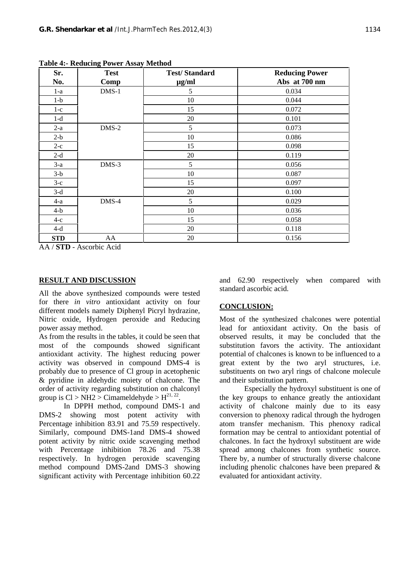| Sr.        | <b>Test</b> | <b>Test/Standard</b> | <b>Reducing Power</b> |  |  |
|------------|-------------|----------------------|-----------------------|--|--|
| No.        | Comp        | $\mu$ g/ml           | Abs at 700 nm         |  |  |
| $1-a$      | $DMS-1$     | 5                    | 0.034                 |  |  |
| $1-b$      |             | 10                   | 0.044                 |  |  |
| $1-c$      |             | 15                   | 0.072                 |  |  |
| $1-d$      |             | 20                   | 0.101                 |  |  |
| $2-a$      | $DMS-2$     | 5                    | 0.073                 |  |  |
| $2-b$      |             | 10                   | 0.086                 |  |  |
| $2-c$      |             | 15                   | 0.098                 |  |  |
| $2-d$      |             | 20                   | 0.119                 |  |  |
| $3-a$      | $DMS-3$     | 5                    | 0.056                 |  |  |
| $3-b$      |             | 10                   | 0.087                 |  |  |
| $3-c$      |             | 15                   | 0.097                 |  |  |
| $3-d$      |             | 20                   | 0.100                 |  |  |
| $4-a$      | DMS-4       | 5                    | 0.029                 |  |  |
| $4-b$      |             | 10                   | 0.036                 |  |  |
| $4-c$      |             | 15                   | 0.058                 |  |  |
| $4-d$      |             | 20                   | 0.118                 |  |  |
| <b>STD</b> | AA          | 20                   | 0.156                 |  |  |

**Table 4:- Reducing Power Assay Method**

AA / **STD** - Ascorbic Acid

# **RESULT AND DISCUSSION**

All the above synthesized compounds were tested for there *in vitro* antioxidant activity on four different models namely Diphenyl Picryl hydrazine, Nitric oxide, Hydrogen peroxide and Reducing power assay method.

As from the results in the tables, it could be seen that most of the compounds showed significant antioxidant activity. The highest reducing power activity was observed in compound DMS-4 is probably due to presence of Cl group in acetophenic & pyridine in aldehydic moiety of chalcone. The order of activity regarding substitution on chalconyl group is  $Cl > NH2 > C$ imameldehyde >  $H^{21, 22}$ .

In DPPH method, compound DMS-1 and DMS-2 showing most potent activity with Percentage inhibition 83.91 and 75.59 respectively. Similarly, compound DMS-1and DMS-4 showed potent activity by nitric oxide scavenging method with Percentage inhibition 78.26 and 75.38 respectively. In hydrogen peroxide scavenging method compound DMS-2and DMS-3 showing significant activity with Percentage inhibition 60.22

and 62.90 respectively when compared with standard ascorbic acid.

# **CONCLUSION:**

Most of the synthesized chalcones were potential lead for antioxidant activity. On the basis of observed results, it may be concluded that the substitution favors the activity. The antioxidant potential of chalcones is known to be influenced to a great extent by the two aryl structures, i.e. substituents on two aryl rings of chalcone molecule and their substitution pattern.

Especially the hydroxyl substituent is one of the key groups to enhance greatly the antioxidant activity of chalcone mainly due to its easy conversion to phenoxy radical through the hydrogen atom transfer mechanism. This phenoxy radical formation may be central to antioxidant potential of chalcones. In fact the hydroxyl substituent are wide spread among chalcones from synthetic source. There by, a number of structurally diverse chalcone including phenolic chalcones have been prepared & evaluated for antioxidant activity.